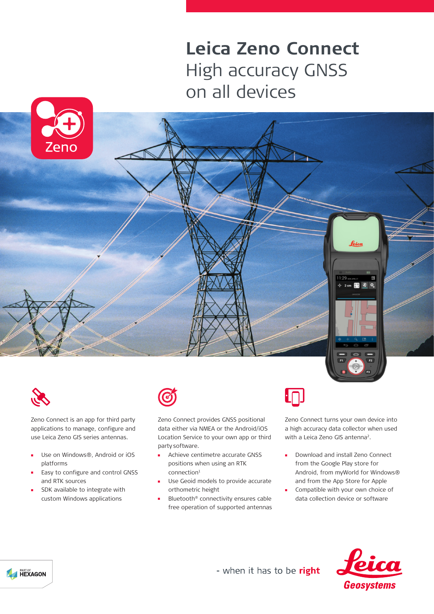## **Leica Zeno Connect** High accuracy GNSS on all devices







Zeno Connect is an app for third party applications to manage, configure and use Leica Zeno GIS series antennas.

- Use on Windows®, Android or iOS  $\mathbf{m}$ platforms
- Easy to configure and control GNSS and RTK sources
- SDK available to integrate with custom Windows applications



Zeno Connect provides GNSS positional data either via NMEA or the Android/iOS Location Service to your own app or third party software.

- Achieve centimetre accurate GNSS  $\mathbf{r}$ positions when using an RTK  $connection<sup>1</sup>$
- Use Geoid models to provide accurate orthometric height
- Bluetooth® connectivity ensures cable free operation of supported antennas



Zeno Connect turns your own device into a high accuracy data collector when used with a Leica Zeno GIS antenna<sup>2</sup>.

- $\mathbf{r}$ Download and install Zeno Connect from the Google Play store for Android, from myWorld for Windows® and from the App Store for Apple
- Compatible with your own choice of data collection device or software



- when it has to be right